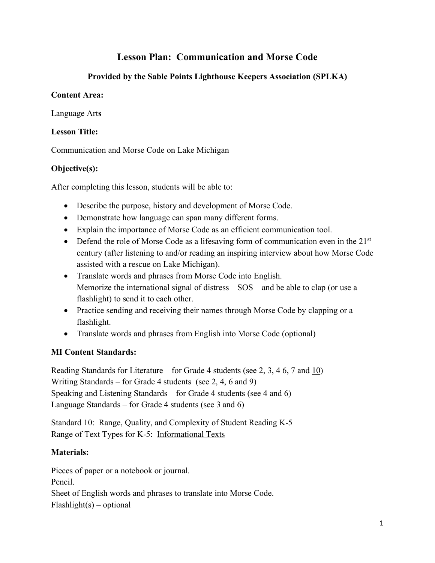# **Lesson Plan: Communication and Morse Code**

# **Provided by the Sable Points Lighthouse Keepers Association (SPLKA)**

#### **Content Area:**

Language Art**s**

#### **Lesson Title:**

Communication and Morse Code on Lake Michigan

# **Objective(s):**

After completing this lesson, students will be able to:

- Describe the purpose, history and development of Morse Code.
- Demonstrate how language can span many different forms.
- Explain the importance of Morse Code as an efficient communication tool.
- Defend the role of Morse Code as a lifesaving form of communication even in the  $21<sup>st</sup>$ century (after listening to and/or reading an inspiring interview about how Morse Code assisted with a rescue on Lake Michigan).
- Translate words and phrases from Morse Code into English. Memorize the international signal of distress – SOS – and be able to clap (or use a flashlight) to send it to each other.
- Practice sending and receiving their names through Morse Code by clapping or a flashlight.
- Translate words and phrases from English into Morse Code (optional)

# **MI Content Standards:**

Reading Standards for Literature – for Grade 4 students (see 2, 3, 4 6, 7 and  $\underline{10}$ ) Writing Standards – for Grade 4 students (see 2, 4, 6 and 9) Speaking and Listening Standards – for Grade 4 students (see 4 and 6) Language Standards – for Grade 4 students (see 3 and 6)

Standard 10: Range, Quality, and Complexity of Student Reading K-5 Range of Text Types for K-5: Informational Texts

# **Materials:**

Pieces of paper or a notebook or journal. Pencil. Sheet of English words and phrases to translate into Morse Code.  $F$ lashlight $(s)$  – optional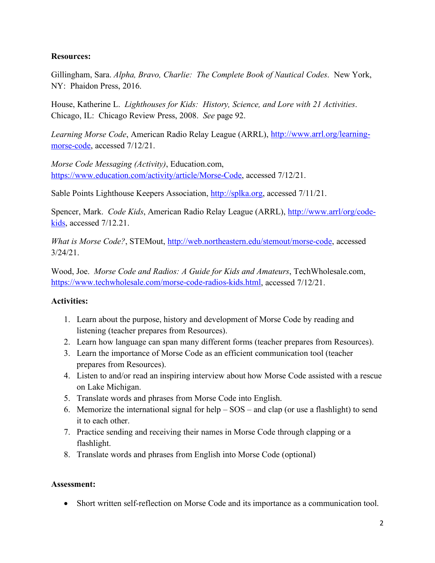#### **Resources:**

Gillingham, Sara. *Alpha, Bravo, Charlie: The Complete Book of Nautical Codes*. New York, NY: Phaidon Press, 2016.

House, Katherine L. *Lighthouses for Kids: History, Science, and Lore with 21 Activities*. Chicago, IL: Chicago Review Press, 2008. *See* page 92.

*Learning Morse Code*, American Radio Relay League (ARRL), [http://www.arrl.org/learning](http://www.arrl.org/learning-morse-code)[morse-code,](http://www.arrl.org/learning-morse-code) accessed 7/12/21.

*Morse Code Messaging (Activity)*, Education.com, [https://www.education.com/activity/article/Morse-Code,](https://www.education.com/activity/article/Morse-Code) accessed 7/12/21.

Sable Points Lighthouse Keepers Association, [http://splka.org,](http://splka.org/) accessed 7/11/21.

Spencer, Mark. *Code Kids*, American Radio Relay League (ARRL), [http://www.arrl/org/code](http://www.arrl/org/code-kids)[kids,](http://www.arrl/org/code-kids) accessed 7/12.21.

*What is Morse Code?*, STEMout, [http://web.northeastern.edu/stemout/morse-code,](http://web.northeastern.edu/stemout/morse-code) accessed 3/24/21.

Wood, Joe. *Morse Code and Radios: A Guide for Kids and Amateurs*, TechWholesale.com, [https://www.techwholesale.com/morse-code-radios-kids.html,](https://www.techwholesale.com/morse-code-radios-kids.html) accessed 7/12/21.

#### **Activities:**

- 1. Learn about the purpose, history and development of Morse Code by reading and listening (teacher prepares from Resources).
- 2. Learn how language can span many different forms (teacher prepares from Resources).
- 3. Learn the importance of Morse Code as an efficient communication tool (teacher prepares from Resources).
- 4. Listen to and/or read an inspiring interview about how Morse Code assisted with a rescue on Lake Michigan.
- 5. Translate words and phrases from Morse Code into English.
- 6. Memorize the international signal for help SOS and clap (or use a flashlight) to send it to each other.
- 7. Practice sending and receiving their names in Morse Code through clapping or a flashlight.
- 8. Translate words and phrases from English into Morse Code (optional)

#### **Assessment:**

• Short written self-reflection on Morse Code and its importance as a communication tool.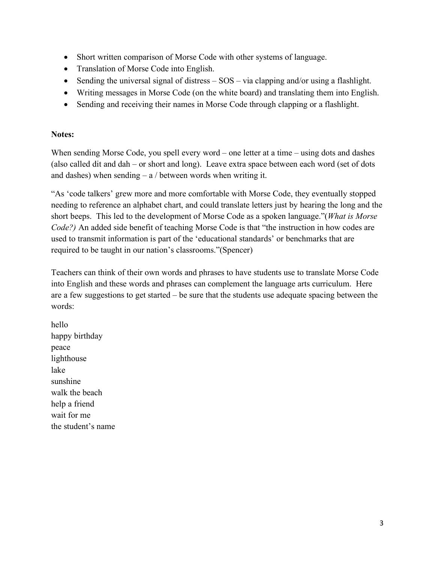- Short written comparison of Morse Code with other systems of language.
- Translation of Morse Code into English.
- Sending the universal signal of distress SOS via clapping and/or using a flashlight.
- Writing messages in Morse Code (on the white board) and translating them into English.
- Sending and receiving their names in Morse Code through clapping or a flashlight.

#### **Notes:**

When sending Morse Code, you spell every word – one letter at a time – using dots and dashes (also called dit and dah – or short and long). Leave extra space between each word (set of dots and dashes) when sending  $- a / b$  etween words when writing it.

"As 'code talkers' grew more and more comfortable with Morse Code, they eventually stopped needing to reference an alphabet chart, and could translate letters just by hearing the long and the short beeps. This led to the development of Morse Code as a spoken language."(*What is Morse Code?)* An added side benefit of teaching Morse Code is that "the instruction in how codes are used to transmit information is part of the 'educational standards' or benchmarks that are required to be taught in our nation's classrooms."(Spencer)

Teachers can think of their own words and phrases to have students use to translate Morse Code into English and these words and phrases can complement the language arts curriculum. Here are a few suggestions to get started – be sure that the students use adequate spacing between the words:

hello happy birthday peace lighthouse lake sunshine walk the beach help a friend wait for me the student's name